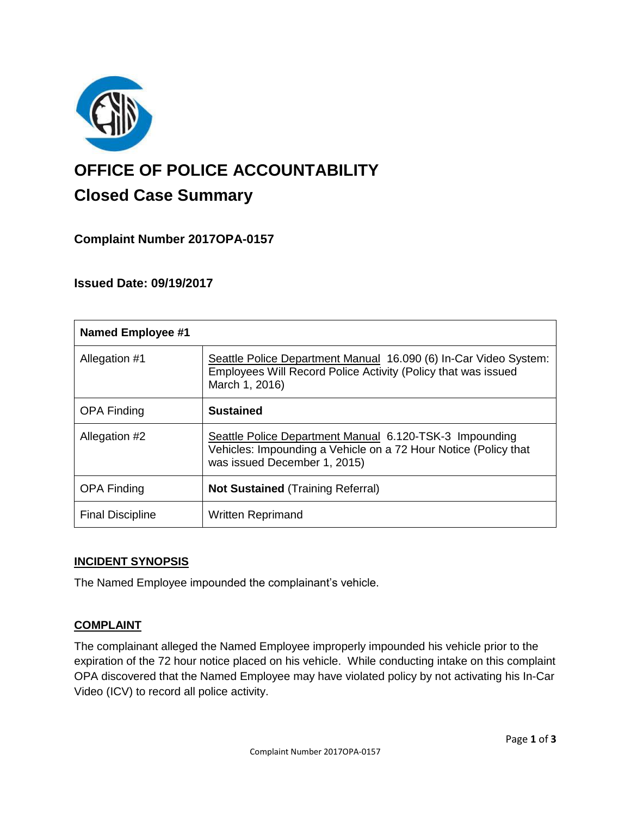

# **OFFICE OF POLICE ACCOUNTABILITY**

# **Closed Case Summary**

## **Complaint Number 2017OPA-0157**

### **Issued Date: 09/19/2017**

| <b>Named Employee #1</b> |                                                                                                                                                            |
|--------------------------|------------------------------------------------------------------------------------------------------------------------------------------------------------|
| Allegation #1            | Seattle Police Department Manual 16.090 (6) In-Car Video System:<br>Employees Will Record Police Activity (Policy that was issued<br>March 1, 2016)        |
| <b>OPA Finding</b>       | <b>Sustained</b>                                                                                                                                           |
| Allegation #2            | Seattle Police Department Manual 6.120-TSK-3 Impounding<br>Vehicles: Impounding a Vehicle on a 72 Hour Notice (Policy that<br>was issued December 1, 2015) |
| <b>OPA Finding</b>       | <b>Not Sustained (Training Referral)</b>                                                                                                                   |
| <b>Final Discipline</b>  | <b>Written Reprimand</b>                                                                                                                                   |

#### **INCIDENT SYNOPSIS**

The Named Employee impounded the complainant's vehicle.

#### **COMPLAINT**

The complainant alleged the Named Employee improperly impounded his vehicle prior to the expiration of the 72 hour notice placed on his vehicle. While conducting intake on this complaint OPA discovered that the Named Employee may have violated policy by not activating his In-Car Video (ICV) to record all police activity.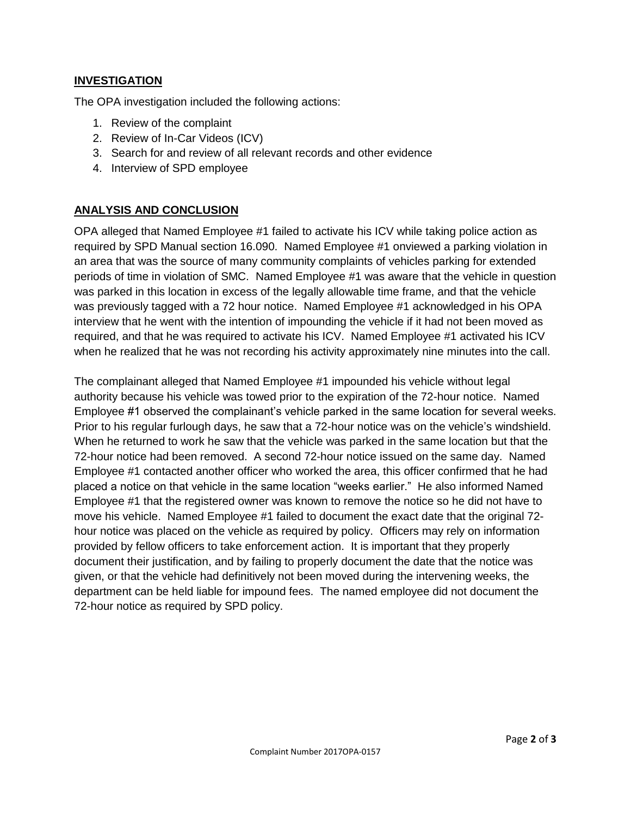#### **INVESTIGATION**

The OPA investigation included the following actions:

- 1. Review of the complaint
- 2. Review of In-Car Videos (ICV)
- 3. Search for and review of all relevant records and other evidence
- 4. Interview of SPD employee

#### **ANALYSIS AND CONCLUSION**

OPA alleged that Named Employee #1 failed to activate his ICV while taking police action as required by SPD Manual section 16.090. Named Employee #1 onviewed a parking violation in an area that was the source of many community complaints of vehicles parking for extended periods of time in violation of SMC. Named Employee #1 was aware that the vehicle in question was parked in this location in excess of the legally allowable time frame, and that the vehicle was previously tagged with a 72 hour notice. Named Employee #1 acknowledged in his OPA interview that he went with the intention of impounding the vehicle if it had not been moved as required, and that he was required to activate his ICV. Named Employee #1 activated his ICV when he realized that he was not recording his activity approximately nine minutes into the call.

The complainant alleged that Named Employee #1 impounded his vehicle without legal authority because his vehicle was towed prior to the expiration of the 72-hour notice. Named Employee #1 observed the complainant's vehicle parked in the same location for several weeks. Prior to his regular furlough days, he saw that a 72-hour notice was on the vehicle's windshield. When he returned to work he saw that the vehicle was parked in the same location but that the 72-hour notice had been removed. A second 72-hour notice issued on the same day. Named Employee #1 contacted another officer who worked the area, this officer confirmed that he had placed a notice on that vehicle in the same location "weeks earlier." He also informed Named Employee #1 that the registered owner was known to remove the notice so he did not have to move his vehicle. Named Employee #1 failed to document the exact date that the original 72 hour notice was placed on the vehicle as required by policy. Officers may rely on information provided by fellow officers to take enforcement action. It is important that they properly document their justification, and by failing to properly document the date that the notice was given, or that the vehicle had definitively not been moved during the intervening weeks, the department can be held liable for impound fees. The named employee did not document the 72-hour notice as required by SPD policy.